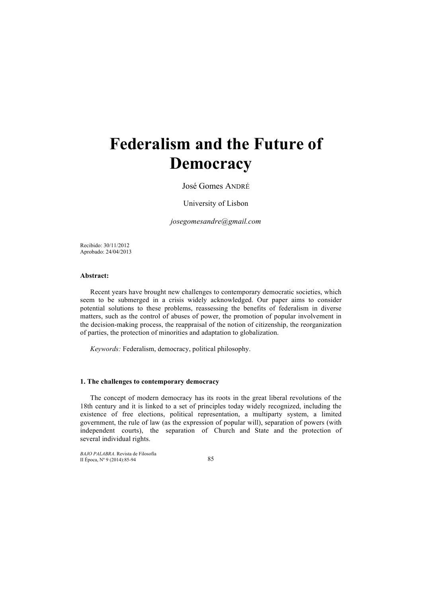# **Federalism and the Future of Democracy**

José Gomes ANDRÉ

University of Lisbon

*josegomesandre@gmail.com*

Recibido: 30/11/2012 Aprobado: 24/04/2013

# **Abstract:**

Recent years have brought new challenges to contemporary democratic societies, which seem to be submerged in a crisis widely acknowledged. Our paper aims to consider potential solutions to these problems, reassessing the benefits of federalism in diverse matters, such as the control of abuses of power, the promotion of popular involvement in the decision-making process, the reappraisal of the notion of citizenship, the reorganization of parties, the protection of minorities and adaptation to globalization.

*Keywords:* Federalism, democracy, political philosophy.

#### **1. The challenges to contemporary democracy**

The concept of modern democracy has its roots in the great liberal revolutions of the 18th century and it is linked to a set of principles today widely recognized, including the existence of free elections, political representation, a multiparty system, a limited government, the rule of law (as the expression of popular will), separation of powers (with independent courts), the separation of Church and State and the protection of several individual rights.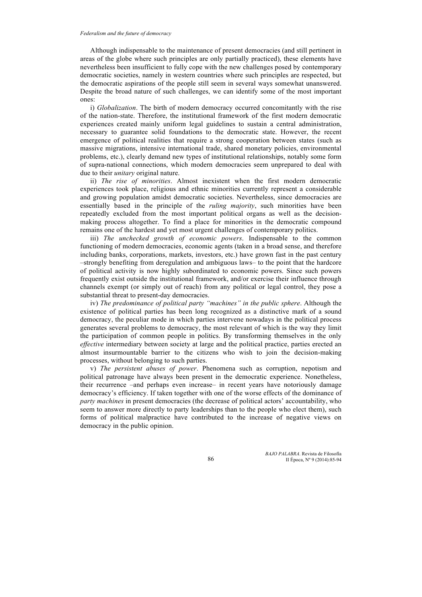Although indispensable to the maintenance of present democracies (and still pertinent in areas of the globe where such principles are only partially practiced), these elements have nevertheless been insufficient to fully cope with the new challenges posed by contemporary democratic societies, namely in western countries where such principles are respected, but the democratic aspirations of the people still seem in several ways somewhat unanswered. Despite the broad nature of such challenges, we can identify some of the most important ones:

i) *Globalization*. The birth of modern democracy occurred concomitantly with the rise of the nation-state. Therefore, the institutional framework of the first modern democratic experiences created mainly uniform legal guidelines to sustain a central administration, necessary to guarantee solid foundations to the democratic state. However, the recent emergence of political realities that require a strong cooperation between states (such as massive migrations, intensive international trade, shared monetary policies, environmental problems, etc.), clearly demand new types of institutional relationships, notably some form of supra-national connections, which modern democracies seem unprepared to deal with due to their *unitary* original nature.

ii) *The rise of minorities*. Almost inexistent when the first modern democratic experiences took place, religious and ethnic minorities currently represent a considerable and growing population amidst democratic societies. Nevertheless, since democracies are essentially based in the principle of the *ruling majority*, such minorities have been repeatedly excluded from the most important political organs as well as the decisionmaking process altogether. To find a place for minorities in the democratic compound remains one of the hardest and yet most urgent challenges of contemporary politics.

iii) *The unchecked growth of economic powers*. Indispensable to the common functioning of modern democracies, economic agents (taken in a broad sense, and therefore including banks, corporations, markets, investors, etc.) have grown fast in the past century –strongly benefiting from deregulation and ambiguous laws– to the point that the hardcore of political activity is now highly subordinated to economic powers. Since such powers frequently exist outside the institutional framework, and/or exercise their influence through channels exempt (or simply out of reach) from any political or legal control, they pose a substantial threat to present-day democracies.

iv) *The predominance of political party "machines" in the public sphere*. Although the existence of political parties has been long recognized as a distinctive mark of a sound democracy, the peculiar mode in which parties intervene nowadays in the political process generates several problems to democracy, the most relevant of which is the way they limit the participation of common people in politics. By transforming themselves in the only *effective* intermediary between society at large and the political practice, parties erected an almost insurmountable barrier to the citizens who wish to join the decision-making processes, without belonging to such parties.

v) *The persistent abuses of power*. Phenomena such as corruption, nepotism and political patronage have always been present in the democratic experience. Nonetheless, their recurrence –and perhaps even increase– in recent years have notoriously damage democracy's efficiency. If taken together with one of the worse effects of the dominance of *party machines* in present democracies (the decrease of political actors' accountability, who seem to answer more directly to party leaderships than to the people who elect them), such forms of political malpractice have contributed to the increase of negative views on democracy in the public opinion.

> *BAJO PALABRA*. Revista de Filosofía II Época, Nº 9 (2014):85-94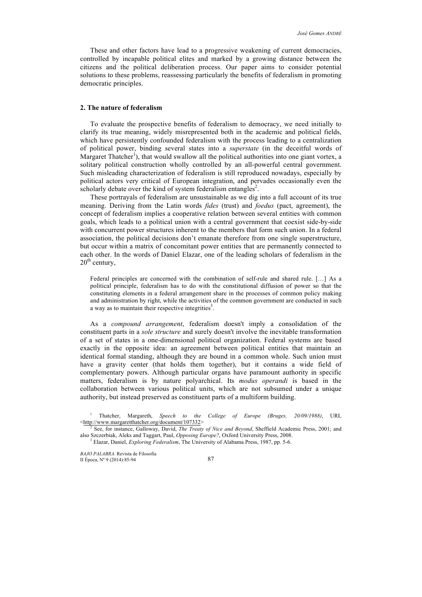These and other factors have lead to a progressive weakening of current democracies, controlled by incapable political elites and marked by a growing distance between the citizens and the political deliberation process. Our paper aims to consider potential solutions to these problems, reassessing particularly the benefits of federalism in promoting democratic principles.

# **2. The nature of federalism**

To evaluate the prospective benefits of federalism to democracy, we need initially to clarify its true meaning, widely misrepresented both in the academic and political fields, which have persistently confounded federalism with the process leading to a centralization of political power, binding several states into a *superstate* (in the deceitful words of Margaret Thatcher<sup>1</sup>), that would swallow all the political authorities into one giant vortex, a solitary political construction wholly controlled by an all-powerful central government. Such misleading characterization of federalism is still reproduced nowadays, especially by political actors very critical of European integration, and pervades occasionally even the scholarly debate over the kind of system federalism entangles<sup>2</sup>.

These portrayals of federalism are unsustainable as we dig into a full account of its true meaning. Deriving from the Latin words *fides* (trust) and *foedus* (pact, agreement), the concept of federalism implies a cooperative relation between several entities with common goals, which leads to a political union with a central government that coexist side-by-side with concurrent power structures inherent to the members that form such union. In a federal association, the political decisions don't emanate therefore from one single superstructure, but occur within a matrix of concomitant power entities that are permanently connected to each other. In the words of Daniel Elazar, one of the leading scholars of federalism in the  $20<sup>th</sup>$  century,

Federal principles are concerned with the combination of self-rule and shared rule. […] As a political principle, federalism has to do with the constitutional diffusion of power so that the constituting elements in a federal arrangement share in the processes of common policy making and administration by right, while the activities of the common government are conducted in such a way as to maintain their respective integrities<sup>3</sup>.

As a *compound arrangement*, federalism doesn't imply a consolidation of the constituent parts in a *sole structure* and surely doesn't involve the inevitable transformation of a set of states in a one-dimensional political organization. Federal systems are based exactly in the opposite idea: an agreement between political entities that maintain an identical formal standing, although they are bound in a common whole. Such union must have a gravity center (that holds them together), but it contains a wide field of complementary powers. Although particular organs have paramount authority in specific matters, federalism is by nature polyarchical. Its *modus operandi* is based in the collaboration between various political units, which are not subsumed under a unique authority, but instead preserved as constituent parts of a multiform building.

<sup>1</sup> Thatcher, Margareth, *Speech to the College of Europe (Bruges, 20/09/1988)*, URL <http://www.margaretthatcher.org/document/107332>

<sup>2</sup> See, for instance, Galloway, David, *The Treaty of Nice and Beyond*, Sheffield Academic Press, 2001; and also Szczerbiak, Aleks and Taggart, Paul, *Opposing Europe?*, Oxford University Press, 2008.

<sup>3</sup> Elazar, Daniel, *Exploring Federalism*, The University of Alabama Press, 1987, pp. 5-6.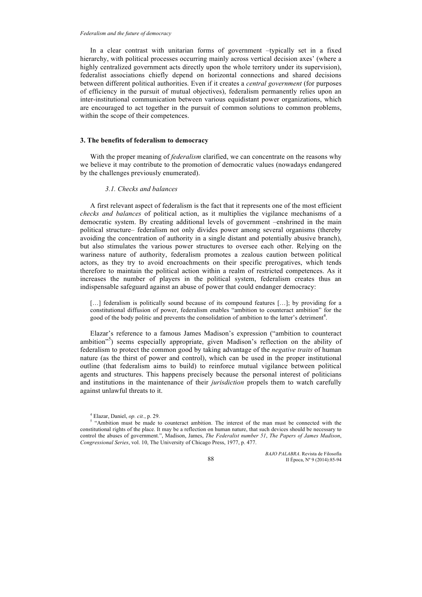In a clear contrast with unitarian forms of government –typically set in a fixed hierarchy, with political processes occurring mainly across vertical decision axes' (where a highly centralized government acts directly upon the whole territory under its supervision), federalist associations chiefly depend on horizontal connections and shared decisions between different political authorities. Even if it creates a *central government* (for purposes of efficiency in the pursuit of mutual objectives), federalism permanently relies upon an inter-institutional communication between various equidistant power organizations, which are encouraged to act together in the pursuit of common solutions to common problems, within the scope of their competences.

# **3. The benefits of federalism to democracy**

With the proper meaning of *federalism* clarified, we can concentrate on the reasons why we believe it may contribute to the promotion of democratic values (nowadays endangered by the challenges previously enumerated).

## *3.1. Checks and balances*

A first relevant aspect of federalism is the fact that it represents one of the most efficient *checks and balances* of political action, as it multiplies the vigilance mechanisms of a democratic system. By creating additional levels of government –enshrined in the main political structure– federalism not only divides power among several organisms (thereby avoiding the concentration of authority in a single distant and potentially abusive branch), but also stimulates the various power structures to oversee each other. Relying on the wariness nature of authority, federalism promotes a zealous caution between political actors, as they try to avoid encroachments on their specific prerogatives, which tends therefore to maintain the political action within a realm of restricted competences. As it increases the number of players in the political system, federalism creates thus an indispensable safeguard against an abuse of power that could endanger democracy:

[...] federalism is politically sound because of its compound features [...]; by providing for a constitutional diffusion of power, federalism enables "ambition to counteract ambition" for the good of the body politic and prevents the consolidation of ambition to the latter's detriment<sup>4</sup>.

Elazar's reference to a famous James Madison's expression ("ambition to counteract ambition<sup>15</sup>) seems especially appropriate, given Madison's reflection on the ability of federalism to protect the common good by taking advantage of the *negative traits* of human nature (as the thirst of power and control), which can be used in the proper institutional outline (that federalism aims to build) to reinforce mutual vigilance between political agents and structures. This happens precisely because the personal interest of politicians and institutions in the maintenance of their *jurisdiction* propels them to watch carefully against unlawful threats to it.

*BAJO PALABRA*. Revista de Filosofía II Época, Nº 9 (2014):85-94

<sup>4</sup> Elazar, Daniel, *op. cit.*, p. 29.

<sup>&</sup>lt;sup>5</sup> "Ambition must be made to counteract ambition. The interest of the man must be connected with the constitutional rights of the place. It may be a reflection on human nature, that such devices should be necessary to control the abuses of government.", Madison, James, *The Federalist number 51*, *The Papers of James Madison*, *Congressional Series*, vol. 10, The University of Chicago Press, 1977, p. 477.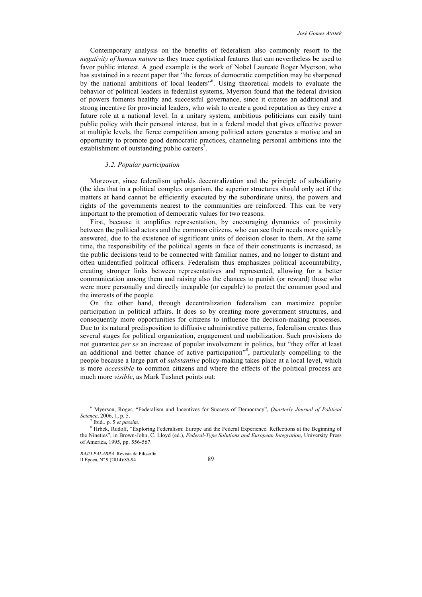Contemporary analysis on the benefits of federalism also commonly resort to the *negativity of human nature* as they trace egotistical features that can nevertheless be used to favor public interest. A good example is the work of Nobel Laureate Roger Myerson, who has sustained in a recent paper that "the forces of democratic competition may be sharpened by the national ambitions of local leaders"<sup>6</sup> . Using theoretical models to evaluate the behavior of political leaders in federalist systems, Myerson found that the federal division of powers foments healthy and successful governance, since it creates an additional and strong incentive for provincial leaders, who wish to create a good reputation as they crave a future role at a national level. In a unitary system, ambitious politicians can easily taint public policy with their personal interest, but in a federal model that gives effective power at multiple levels, the fierce competition among political actors generates a motive and an opportunity to promote good democratic practices, channeling personal ambitions into the establishment of outstanding public careers<sup>7</sup>.

#### *3.2. Popular participation*

Moreover, since federalism upholds decentralization and the principle of subsidiarity (the idea that in a political complex organism, the superior structures should only act if the matters at hand cannot be efficiently executed by the subordinate units), the powers and rights of the governments nearest to the communities are reinforced. This can be very important to the promotion of democratic values for two reasons.

First, because it amplifies representation, by encouraging dynamics of proximity between the political actors and the common citizens, who can see their needs more quickly answered, due to the existence of significant units of decision closer to them. At the same time, the responsibility of the political agents in face of their constituents is increased, as the public decisions tend to be connected with familiar names, and no longer to distant and often unidentified political officers. Federalism thus emphasizes political accountability, creating stronger links between representatives and represented, allowing for a better communication among them and raising also the chances to punish (or reward) those who were more personally and directly incapable (or capable) to protect the common good and the interests of the people.

On the other hand, through decentralization federalism can maximize popular participation in political affairs. It does so by creating more government structures, and consequently more opportunities for citizens to influence the decision-making processes. Due to its natural predisposition to diffusive administrative patterns, federalism creates thus several stages for political organization, engagement and mobilization. Such provisions do not guarantee *per se* an increase of popular involvement in politics, but "they offer at least an additional and better chance of active participation"<sup>8</sup> , particularly compelling to the people because a large part of *substantive* policy-making takes place at a local level, which is more *accessible* to common citizens and where the effects of the political process are much more *visible*, as Mark Tushnet points out:

<sup>6</sup> Myerson, Roger, "Federalism and Incentives for Success of Democracy", *Quarterly Journal of Political Science*, 2006, 1, p. 5.

<sup>7</sup> Ibid.*,* p. 5 *et passim*.

<sup>8</sup> Hrbek, Rudolf, "Exploring Federalism: Europe and the Federal Experience. Reflections at the Beginning of the Nineties", in Brown-John, C. Lloyd (ed.), *Federal-Type Solutions and European Integration*, University Press of America, 1995, pp. 556-567.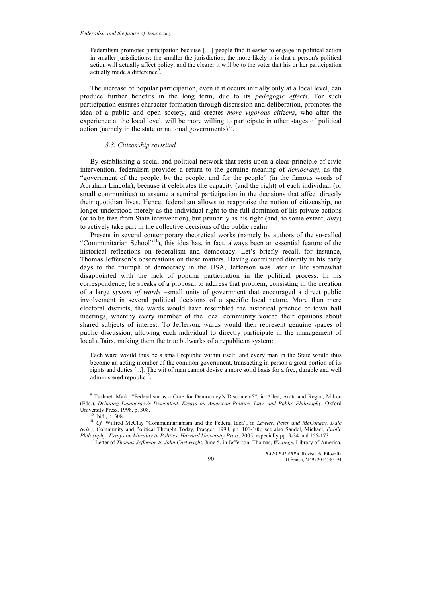Federalism promotes participation because […] people find it easier to engage in political action in smaller jurisdictions: the smaller the jurisdiction, the more likely it is that a person's political action will actually affect policy, and the clearer it will be to the voter that his or her participation actually made a difference<sup>9</sup>.

The increase of popular participation, even if it occurs initially only at a local level, can produce further benefits in the long term, due to its *pedagogic effects*. For such participation ensures character formation through discussion and deliberation, promotes the idea of a public and open society, and creates *more vigorous citizens*, who after the experience at the local level, will be more willing to participate in other stages of political action (namely in the state or national governments) $10^{\circ}$ .

# *3.3. Citizenship revisited*

By establishing a social and political network that rests upon a clear principle of civic intervention, federalism provides a return to the genuine meaning of *democracy*, as the "government of the people, by the people, and for the people" (in the famous words of Abraham Lincoln), because it celebrates the capacity (and the right) of each individual (or small communities) to assume a seminal participation in the decisions that affect directly their quotidian lives. Hence, federalism allows to reappraise the notion of citizenship, no longer understood merely as the individual right to the full dominion of his private actions (or to be free from State intervention), but primarily as his right (and, to some extent, *duty*) to actively take part in the collective decisions of the public realm.

Present in several contemporary theoretical works (namely by authors of the so-called "Communitarian School"<sup>11</sup>), this idea has, in fact, always been an essential feature of the historical reflections on federalism and democracy. Let's briefly recall, for instance, Thomas Jefferson's observations on these matters. Having contributed directly in his early days to the triumph of democracy in the USA, Jefferson was later in life somewhat disappointed with the lack of popular participation in the political process. In his correspondence, he speaks of a proposal to address that problem, consisting in the creation of a large *system of wards* –small units of government that encouraged a direct public involvement in several political decisions of a specific local nature. More than mere electoral districts, the wards would have resembled the historical practice of town hall meetings, whereby every member of the local community voiced their opinions about shared subjects of interest. To Jefferson, wards would then represent genuine spaces of public discussion, allowing each individual to directly participate in the management of local affairs, making them the true bulwarks of a republican system:

Each ward would thus be a small republic within itself, and every man in the State would thus become an acting member of the common government, transacting in person a great portion of its rights and duties [...]. The wit of man cannot devise a more solid basis for a free, durable and well administered republic<sup>12</sup>.

*BAJO PALABRA*. Revista de Filosofía II Época, Nº 9 (2014):85-94

<sup>9</sup> Tushnet, Mark, "Federalism as a Cure for Democracy's Discontent?", in Allen, Anita and Regan, Milton (Eds.), *Debating Democracy's Discontent. Essays on American Politics, Law, and Public Philosophy*, Oxford University Press, 1998, p. 308.

 $10$  Ibid., p. 308.

**<sup>11</sup>** *Cf.* Wilfred McClay "Communitarianism and the Federal Idea", in *Lawler, Peter and McConkey, Dale (eds.),* Community and Political Thought Today, Praeger, 1998, pp. 101-108; see also Sandel, Michael*, Public Philosophy: Essays on Morality in Politics, Harvard University Press*, 2005, especially pp. 9-34 and 156-173*.*

<sup>12</sup> Letter of *Thomas Jefferson to John Cartwright*, June 5, in Jefferson, Thomas, *Writings*, Library of America,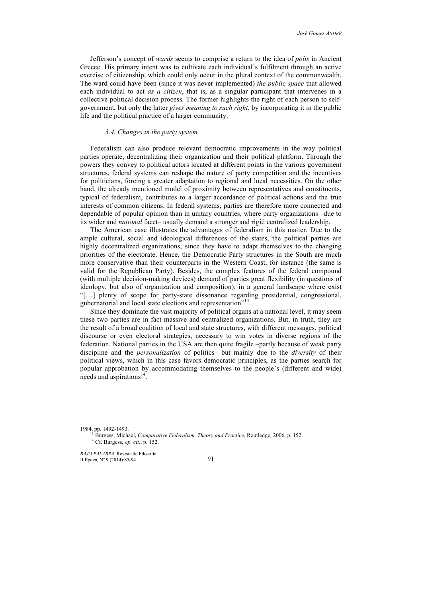Jefferson's concept of *wards* seems to comprise a return to the idea of *polis* in Ancient Greece. His primary intent was to cultivate each individual's fulfilment through an active exercise of citizenship, which could only occur in the plural context of the commonwealth. The ward could have been (since it was never implemented) *the public space* that allowed each individual to act *as a citizen*, that is, as a singular participant that intervenes in a collective political decision process. The former highlights the right of each person to selfgovernment, but only the latter *gives meaning to such right*, by incorporating it in the public life and the political practice of a larger community.

# *3.4. Changes in the party system*

Federalism can also produce relevant democratic improvements in the way political parties operate, decentralizing their organization and their political platform. Through the powers they convey to political actors located at different points in the various government structures, federal systems can reshape the nature of party competition and the incentives for politicians, forcing a greater adaptation to regional and local necessities. On the other hand, the already mentioned model of proximity between representatives and constituents, typical of federalism, contributes to a larger accordance of political actions and the true interests of common citizens. In federal systems, parties are therefore more connected and dependable of popular opinion than in unitary countries, where party organizations –due to its wider and *national* facet– usually demand a stronger and rigid centralized leadership.

The American case illustrates the advantages of federalism in this matter. Due to the ample cultural, social and ideological differences of the states, the political parties are highly decentralized organizations, since they have to adapt themselves to the changing priorities of the electorate. Hence, the Democratic Party structures in the South are much more conservative than their counterparts in the Western Coast, for instance (the same is valid for the Republican Party). Besides, the complex features of the federal compound (with multiple decision-making devices) demand of parties great flexibility (in questions of ideology, but also of organization and composition), in a general landscape where exist "[…] plenty of scope for party-state dissonance regarding presidential, congressional, gubernatorial and local state elections and representation"<sup>13</sup>.

Since they dominate the vast majority of political organs at a national level, it may seem these two parties are in fact massive and centralized organizations. But, in truth, they are the result of a broad coalition of local and state structures, with different messages, political discourse or even electoral strategies, necessary to win votes in diverse regions of the federation. National parties in the USA are then quite fragile –partly because of weak party discipline and the *personalization* of politics– but mainly due to the *diversity* of their political views, which in this case favors democratic principles, as the parties search for popular approbation by accommodating themselves to the people's (different and wide) needs and aspirations $14$ .

1984, pp. 1492-1493.

<sup>13</sup> Burgess, Michael, *Comparative Federalism. Theory and Practice*, Routledge, 2006, p. 152. <sup>14</sup> Cf. Burgess, *op. cit.*, p. 152.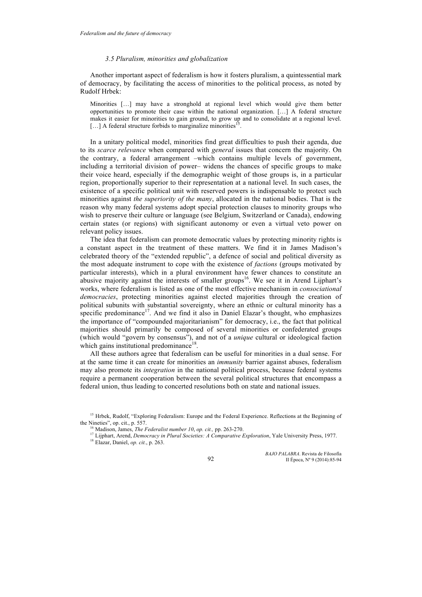## *3.5 Pluralism, minorities and globalization*

Another important aspect of federalism is how it fosters pluralism, a quintessential mark of democracy, by facilitating the access of minorities to the political process, as noted by Rudolf Hrbek:

Minorities […] may have a stronghold at regional level which would give them better opportunities to promote their case within the national organization. […] A federal structure makes it easier for minorities to gain ground, to grow up and to consolidate at a regional level.  $[...]$  A federal structure forbids to marginalize minorities<sup>15</sup>.

In a unitary political model, minorities find great difficulties to push their agenda, due to its *scarce relevance* when compared with *general* issues that concern the majority. On the contrary, a federal arrangement –which contains multiple levels of government, including a territorial division of power– widens the chances of specific groups to make their voice heard, especially if the demographic weight of those groups is, in a particular region, proportionally superior to their representation at a national level. In such cases, the existence of a specific political unit with reserved powers is indispensable to protect such minorities against *the superiority of the many*, allocated in the national bodies. That is the reason why many federal systems adopt special protection clauses to minority groups who wish to preserve their culture or language (see Belgium, Switzerland or Canada), endowing certain states (or regions) with significant autonomy or even a virtual veto power on relevant policy issues.

The idea that federalism can promote democratic values by protecting minority rights is a constant aspect in the treatment of these matters. We find it in James Madison's celebrated theory of the "extended republic", a defence of social and political diversity as the most adequate instrument to cope with the existence of *factions* (groups motivated by particular interests), which in a plural environment have fewer chances to constitute an abusive majority against the interests of smaller groups<sup>16</sup>. We see it in Arend Lijphart's works, where federalism is listed as one of the most effective mechanism in *consociational democracies*, protecting minorities against elected majorities through the creation of political subunits with substantial sovereignty, where an ethnic or cultural minority has a specific predominance<sup>17</sup>. And we find it also in Daniel Elazar's thought, who emphasizes the importance of "compounded majoritarianism" for democracy, i.e., the fact that political majorities should primarily be composed of several minorities or confederated groups (which would "govern by consensus"), and not of a *unique* cultural or ideological faction which gains institutional predominance<sup>18</sup>.

All these authors agree that federalism can be useful for minorities in a dual sense. For at the same time it can create for minorities an *immunity* barrier against abuses, federalism may also promote its *integration* in the national political process, because federal systems require a permanent cooperation between the several political structures that encompass a federal union, thus leading to concerted resolutions both on state and national issues.

<sup>18</sup> Elazar, Daniel, *op. cit.*, p. 263.

*BAJO PALABRA*. Revista de Filosofía II Época, Nº 9 (2014):85-94

<sup>&</sup>lt;sup>15</sup> Hrbek, Rudolf, "Exploring Federalism: Europe and the Federal Experience. Reflections at the Beginning of the Nineties", op. cit., p. 557.

<sup>16</sup> Madison, James, *The Federalist number 10*, *op. cit.,* pp. 263-270.

<sup>&</sup>lt;sup>17</sup> Lijphart, Arend, *Democracy in Plural Societies: A Comparative Exploration*, Yale University Press, 1977.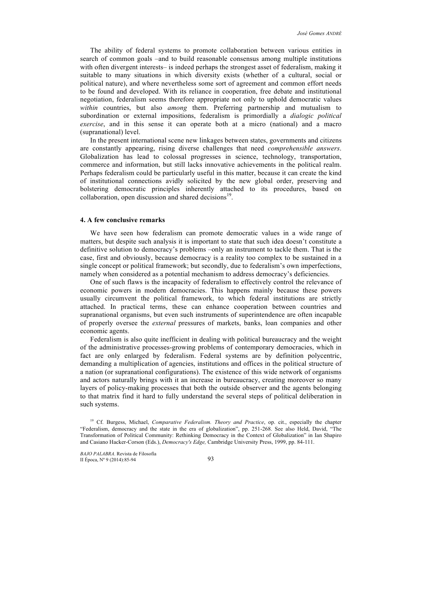The ability of federal systems to promote collaboration between various entities in search of common goals –and to build reasonable consensus among multiple institutions with often divergent interests– is indeed perhaps the strongest asset of federalism, making it suitable to many situations in which diversity exists (whether of a cultural, social or political nature), and where nevertheless some sort of agreement and common effort needs to be found and developed. With its reliance in cooperation, free debate and institutional negotiation, federalism seems therefore appropriate not only to uphold democratic values *within* countries, but also *among* them. Preferring partnership and mutualism to subordination or external impositions, federalism is primordially a *dialogic political exercise*, and in this sense it can operate both at a micro (national) and a macro (supranational) level.

In the present international scene new linkages between states, governments and citizens are constantly appearing, rising diverse challenges that need *comprehensible answers*. Globalization has lead to colossal progresses in science, technology, transportation, commerce and information, but still lacks innovative achievements in the political realm. Perhaps federalism could be particularly useful in this matter, because it can create the kind of institutional connections avidly solicited by the new global order, preserving and bolstering democratic principles inherently attached to its procedures, based on collaboration, open discussion and shared decisions $19$ .

## **4. A few conclusive remarks**

We have seen how federalism can promote democratic values in a wide range of matters, but despite such analysis it is important to state that such idea doesn't constitute a definitive solution to democracy's problems –only an instrument to tackle them. That is the case, first and obviously, because democracy is a reality too complex to be sustained in a single concept or political framework; but secondly, due to federalism's own imperfections, namely when considered as a potential mechanism to address democracy's deficiencies.

One of such flaws is the incapacity of federalism to effectively control the relevance of economic powers in modern democracies. This happens mainly because these powers usually circumvent the political framework, to which federal institutions are strictly attached. In practical terms, these can enhance cooperation between countries and supranational organisms, but even such instruments of superintendence are often incapable of properly oversee the *external* pressures of markets, banks, loan companies and other economic agents.

Federalism is also quite inefficient in dealing with political bureaucracy and the weight of the administrative processes-growing problems of contemporary democracies, which in fact are only enlarged by federalism. Federal systems are by definition polycentric, demanding a multiplication of agencies, institutions and offices in the political structure of a nation (or supranational configurations). The existence of this wide network of organisms and actors naturally brings with it an increase in bureaucracy, creating moreover so many layers of policy-making processes that both the outside observer and the agents belonging to that matrix find it hard to fully understand the several steps of political deliberation in such systems.

<sup>&</sup>lt;sup>19</sup> Cf. Burgess, Michael, *Comparative Federalism. Theory and Practice*, op. cit., especially the chapter "Federalism, democracy and the state in the era of globalization", pp. 251-268. See also Held, David, "The Transformation of Political Community: Rethinking Democracy in the Context of Globalization" in Ian Shapiro and Casiano Hacker-Corson (Eds.), *Democracy's Edge,* Cambridge University Press, 1999, pp. 84-111.

*BAJO PALABRA*. Revista de Filosofía II Época, Nº 9 (2014):85-94 93